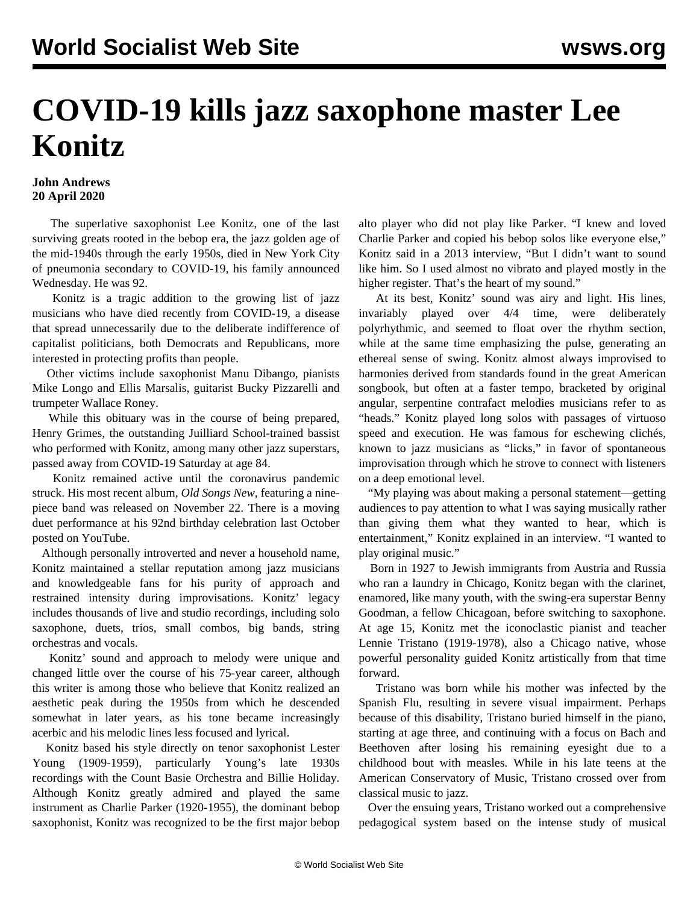## **COVID-19 kills jazz saxophone master Lee Konitz**

## **John Andrews 20 April 2020**

 The superlative saxophonist Lee Konitz, one of the last surviving greats rooted in the bebop era, the jazz golden age of the mid-1940s through the early 1950s, died in New York City of pneumonia secondary to COVID-19, his family announced Wednesday. He was 92.

 Konitz is a tragic addition to the growing list of jazz musicians who have died recently from COVID-19, a disease that spread unnecessarily due to the deliberate indifference of capitalist politicians, both Democrats and Republicans, more interested in protecting profits than people.

 [Other victims](/en/articles/2020/04/06/jazz-a06.html) include saxophonist Manu Dibango, pianists Mike Longo and Ellis Marsalis, guitarist Bucky Pizzarelli and trumpeter Wallace Roney.

 While this obituary was in the course of being prepared, Henry Grimes, the outstanding Juilliard School-trained bassist who performed with Konitz, among many other jazz superstars, passed away from COVID-19 Saturday at age 84.

 Konitz remained active until the coronavirus pandemic struck. His most recent album, *Old Songs New*, featuring a ninepiece band was released on November 22. There is a [moving](https://www.youtube.com/watch?v=xFDTEmLZidg) [duet performance](https://www.youtube.com/watch?v=xFDTEmLZidg) at his 92nd birthday celebration last October posted on YouTube.

 Although personally introverted and never a household name, Konitz maintained a stellar reputation among jazz musicians and knowledgeable fans for his purity of approach and restrained intensity during improvisations. Konitz' legacy includes thousands of live and studio recordings, including solo saxophone, duets, trios, small combos, big bands, string orchestras and vocals.

 Konitz' sound and approach to melody were unique and changed little over the course of his 75-year career, although this writer is among those who believe that Konitz realized an aesthetic peak during the 1950s from which he descended somewhat in later years, as his tone became increasingly acerbic and his melodic lines less focused and lyrical.

 Konitz based his style directly on tenor saxophonist Lester Young (1909-1959), particularly Young's late 1930s recordings with the Count Basie Orchestra and Billie Holiday. Although Konitz greatly admired and played the same instrument as Charlie Parker (1920-1955), the dominant bebop saxophonist, Konitz was recognized to be the first major bebop alto player who did not play like Parker. "I knew and loved Charlie Parker and copied his bebop solos like everyone else," Konitz said in a 2013 interview, "But I didn't want to sound like him. So I used almost no vibrato and played mostly in the higher register. That's the heart of my sound."

 At its best, Konitz' sound was airy and light. His lines, invariably played over 4/4 time, were deliberately polyrhythmic, and seemed to float over the rhythm section, while at the same time emphasizing the pulse, generating an ethereal sense of swing. Konitz almost always improvised to harmonies derived from standards found in the great American songbook, but often at a faster tempo, bracketed by original angular, serpentine contrafact melodies musicians refer to as "heads." Konitz played long solos with passages of virtuoso speed and execution. He was famous for eschewing clichés, known to jazz musicians as "licks," in favor of spontaneous improvisation through which he strove to connect with listeners on a deep emotional level.

 "My playing was about making a personal statement—getting audiences to pay attention to what I was saying musically rather than giving them what they wanted to hear, which is entertainment," Konitz explained in an interview. "I wanted to play original music."

 Born in 1927 to Jewish immigrants from Austria and Russia who ran a laundry in Chicago, Konitz began with the clarinet, enamored, like many youth, with the swing-era superstar Benny Goodman, a fellow Chicagoan, before switching to saxophone. At age 15, Konitz met the iconoclastic pianist and teacher Lennie Tristano (1919-1978), also a Chicago native, whose powerful personality guided Konitz artistically from that time forward.

 Tristano was born while his mother was infected by the Spanish Flu, resulting in severe visual impairment. Perhaps because of this disability, Tristano buried himself in the piano, starting at age three, and continuing with a focus on Bach and Beethoven after losing his remaining eyesight due to a childhood bout with measles. While in his late teens at the American Conservatory of Music, Tristano crossed over from classical music to jazz.

 Over the ensuing years, Tristano worked out a comprehensive pedagogical system based on the intense study of musical